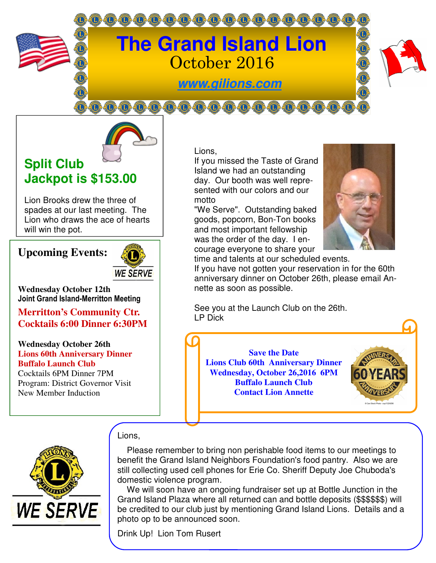

# **The Grand Island Lion**  October 2016

**www.gilions.com**

000000000000000000000



## **Split Club Jackpot is \$153.00**

Lion Brooks drew the three of spades at our last meeting. The Lion who draws the ace of hearts will win the pot.

### **Upcoming Events:**



**Wednesday October 12th Joint Grand Island-Merritton Meeting** 

**Merritton's Community Ctr. Cocktails 6:00 Dinner 6:30PM** 

**Wednesday October 26th Lions 60th Anniversary Dinner Buffalo Launch Club** 

Cocktails 6PM Dinner 7PM Program: District Governor Visit New Member Induction

Lions,

If you missed the Taste of Grand Island we had an outstanding day. Our booth was well represented with our colors and our motto

"We Serve". Outstanding baked goods, popcorn, Bon-Ton books and most important fellowship was the order of the day. I encourage everyone to share your



time and talents at our scheduled events.

If you have not gotten your reservation in for the 60th anniversary dinner on October 26th, please email Annette as soon as possible.

See you at the Launch Club on the 26th. LP Dick

**Save the Date Lions Club 60th Anniversary Dinner Wednesday, October 26,2016 6PM Buffalo Launch Club Contact Lion Annette** 





### Lions,

 Please remember to bring non perishable food items to our meetings to benefit the Grand Island Neighbors Foundation's food pantry. Also we are still collecting used cell phones for Erie Co. Sheriff Deputy Joe Chuboda's domestic violence program.

 We will soon have an ongoing fundraiser set up at Bottle Junction in the Grand Island Plaza where all returned can and bottle deposits (\$\$\$\$\$\$) will be credited to our club just by mentioning Grand Island Lions. Details and a photo op to be announced soon.

Drink Up! Lion Tom Rusert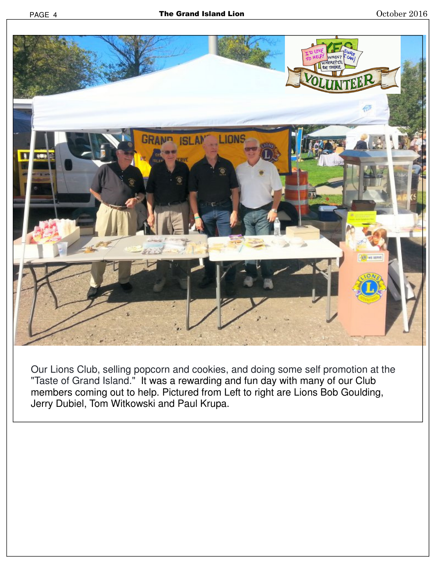

Our Lions Club, selling popcorn and cookies, and doing some self promotion at the "Taste of Grand Island." It was a rewarding and fun day with many of our Club members coming out to help. Pictured from Left to right are Lions Bob Goulding, Jerry Dubiel, Tom Witkowski and Paul Krupa.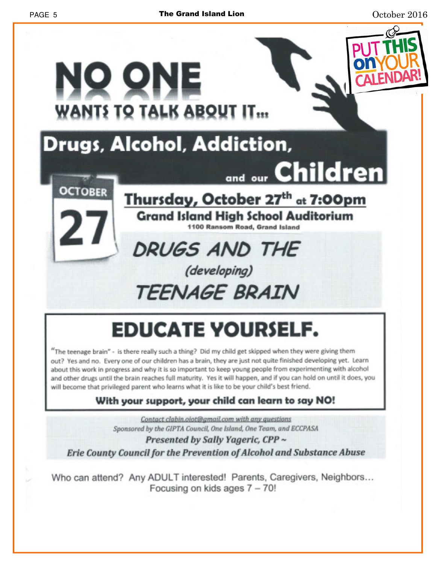

# **EDUCATE YOURSELF.**

"The teenage brain" - is there really such a thing? Did my child get skipped when they were giving them out? Yes and no. Every one of our children has a brain, they are just not quite finished developing yet. Learn about this work in progress and why it is so important to keep young people from experimenting with alcohol and other drugs until the brain reaches full maturity. Yes it will happen, and if you can hold on until it does, you will become that privileged parent who learns what it is like to be your child's best friend.

### With your support, your child can learn to say NO!

Contact clabin.olot@gmail.com with any questions Sponsored by the GIPTA Council, One Island, One Team, and ECCPASA

#### Presented by Sally Yageric, CPP ~ Erie County Council for the Prevention of Alcohol and Substance Abuse

Who can attend? Any ADULT interested! Parents, Caregivers, Neighbors... Focusing on kids ages 7 - 70!